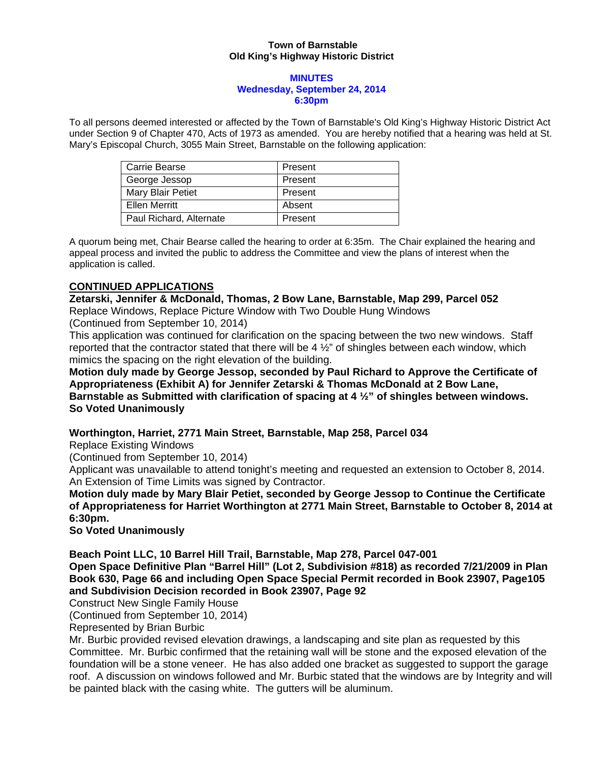#### **Town of Barnstable Old King's Highway Historic District**

#### **MINUTES Wednesday, September 24, 2014 6:30pm**

To all persons deemed interested or affected by the Town of Barnstable's Old King's Highway Historic District Act under Section 9 of Chapter 470, Acts of 1973 as amended. You are hereby notified that a hearing was held at St. Mary's Episcopal Church, 3055 Main Street, Barnstable on the following application:

| Carrie Bearse           | Present |
|-------------------------|---------|
| George Jessop           | Present |
| Mary Blair Petiet       | Present |
| Ellen Merritt           | Absent  |
| Paul Richard, Alternate | Present |

A quorum being met, Chair Bearse called the hearing to order at 6:35m. The Chair explained the hearing and appeal process and invited the public to address the Committee and view the plans of interest when the application is called.

# **CONTINUED APPLICATIONS**

**Zetarski, Jennifer & McDonald, Thomas, 2 Bow Lane, Barnstable, Map 299, Parcel 052**  Replace Windows, Replace Picture Window with Two Double Hung Windows

(Continued from September 10, 2014)

This application was continued for clarification on the spacing between the two new windows. Staff reported that the contractor stated that there will be 4  $\frac{1}{2}$ " of shingles between each window, which mimics the spacing on the right elevation of the building.

**Motion duly made by George Jessop, seconded by Paul Richard to Approve the Certificate of Appropriateness (Exhibit A) for Jennifer Zetarski & Thomas McDonald at 2 Bow Lane, Barnstable as Submitted with clarification of spacing at 4 ½" of shingles between windows. So Voted Unanimously** 

## **Worthington, Harriet, 2771 Main Street, Barnstable, Map 258, Parcel 034**

Replace Existing Windows

(Continued from September 10, 2014)

Applicant was unavailable to attend tonight's meeting and requested an extension to October 8, 2014. An Extension of Time Limits was signed by Contractor.

**Motion duly made by Mary Blair Petiet, seconded by George Jessop to Continue the Certificate of Appropriateness for Harriet Worthington at 2771 Main Street, Barnstable to October 8, 2014 at 6:30pm.** 

**So Voted Unanimously** 

**Beach Point LLC, 10 Barrel Hill Trail, Barnstable, Map 278, Parcel 047-001** 

**Open Space Definitive Plan "Barrel Hill" (Lot 2, Subdivision #818) as recorded 7/21/2009 in Plan Book 630, Page 66 and including Open Space Special Permit recorded in Book 23907, Page105 and Subdivision Decision recorded in Book 23907, Page 92** 

Construct New Single Family House

(Continued from September 10, 2014)

Represented by Brian Burbic

Mr. Burbic provided revised elevation drawings, a landscaping and site plan as requested by this Committee. Mr. Burbic confirmed that the retaining wall will be stone and the exposed elevation of the foundation will be a stone veneer. He has also added one bracket as suggested to support the garage roof. A discussion on windows followed and Mr. Burbic stated that the windows are by Integrity and will be painted black with the casing white. The gutters will be aluminum.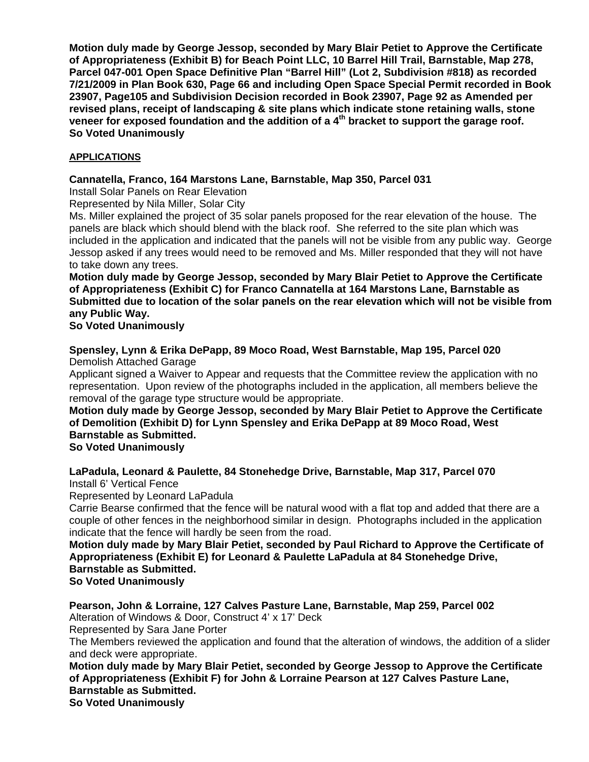**Motion duly made by George Jessop, seconded by Mary Blair Petiet to Approve the Certificate of Appropriateness (Exhibit B) for Beach Point LLC, 10 Barrel Hill Trail, Barnstable, Map 278, Parcel 047-001 Open Space Definitive Plan "Barrel Hill" (Lot 2, Subdivision #818) as recorded 7/21/2009 in Plan Book 630, Page 66 and including Open Space Special Permit recorded in Book 23907, Page105 and Subdivision Decision recorded in Book 23907, Page 92 as Amended per revised plans, receipt of landscaping & site plans which indicate stone retaining walls, stone veneer for exposed foundation and the addition of a 4th bracket to support the garage roof. So Voted Unanimously** 

## **APPLICATIONS**

## **Cannatella, Franco, 164 Marstons Lane, Barnstable, Map 350, Parcel 031**

Install Solar Panels on Rear Elevation

Represented by Nila Miller, Solar City

Ms. Miller explained the project of 35 solar panels proposed for the rear elevation of the house. The panels are black which should blend with the black roof. She referred to the site plan which was included in the application and indicated that the panels will not be visible from any public way. George Jessop asked if any trees would need to be removed and Ms. Miller responded that they will not have to take down any trees.

**Motion duly made by George Jessop, seconded by Mary Blair Petiet to Approve the Certificate of Appropriateness (Exhibit C) for Franco Cannatella at 164 Marstons Lane, Barnstable as Submitted due to location of the solar panels on the rear elevation which will not be visible from any Public Way.** 

**So Voted Unanimously** 

## **Spensley, Lynn & Erika DePapp, 89 Moco Road, West Barnstable, Map 195, Parcel 020**  Demolish Attached Garage

Applicant signed a Waiver to Appear and requests that the Committee review the application with no representation. Upon review of the photographs included in the application, all members believe the removal of the garage type structure would be appropriate.

# **Motion duly made by George Jessop, seconded by Mary Blair Petiet to Approve the Certificate of Demolition (Exhibit D) for Lynn Spensley and Erika DePapp at 89 Moco Road, West Barnstable as Submitted.**

## **So Voted Unanimously**

### **LaPadula, Leonard & Paulette, 84 Stonehedge Drive, Barnstable, Map 317, Parcel 070**  Install 6' Vertical Fence

Represented by Leonard LaPadula

Carrie Bearse confirmed that the fence will be natural wood with a flat top and added that there are a couple of other fences in the neighborhood similar in design. Photographs included in the application indicate that the fence will hardly be seen from the road.

# **Motion duly made by Mary Blair Petiet, seconded by Paul Richard to Approve the Certificate of Appropriateness (Exhibit E) for Leonard & Paulette LaPadula at 84 Stonehedge Drive, Barnstable as Submitted.**

# **So Voted Unanimously**

**Pearson, John & Lorraine, 127 Calves Pasture Lane, Barnstable, Map 259, Parcel 002** 

Alteration of Windows & Door, Construct 4' x 17' Deck

Represented by Sara Jane Porter

The Members reviewed the application and found that the alteration of windows, the addition of a slider and deck were appropriate.

**Motion duly made by Mary Blair Petiet, seconded by George Jessop to Approve the Certificate of Appropriateness (Exhibit F) for John & Lorraine Pearson at 127 Calves Pasture Lane, Barnstable as Submitted.** 

**So Voted Unanimously**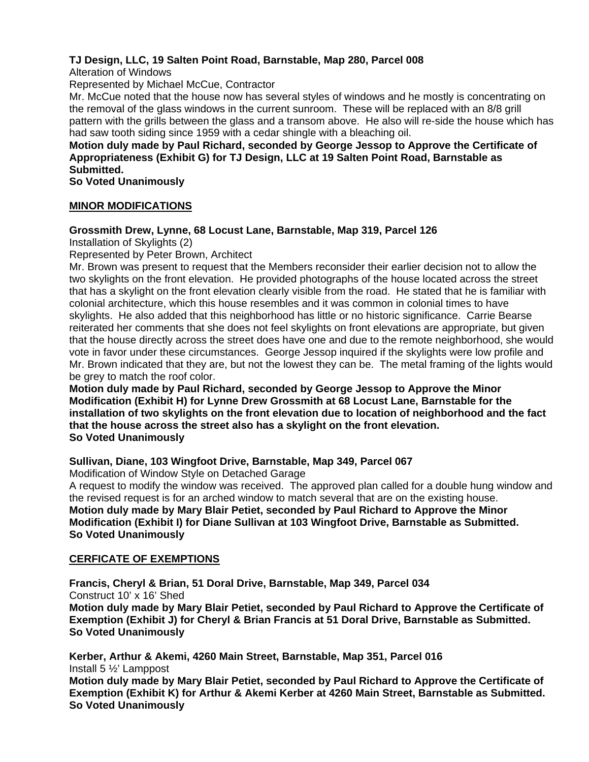# **TJ Design, LLC, 19 Salten Point Road, Barnstable, Map 280, Parcel 008**

Alteration of Windows

Represented by Michael McCue, Contractor

Mr. McCue noted that the house now has several styles of windows and he mostly is concentrating on the removal of the glass windows in the current sunroom. These will be replaced with an 8/8 grill pattern with the grills between the glass and a transom above. He also will re-side the house which has had saw tooth siding since 1959 with a cedar shingle with a bleaching oil.

## **Motion duly made by Paul Richard, seconded by George Jessop to Approve the Certificate of Appropriateness (Exhibit G) for TJ Design, LLC at 19 Salten Point Road, Barnstable as Submitted.**

**So Voted Unanimously**

## **MINOR MODIFICATIONS**

## **Grossmith Drew, Lynne, 68 Locust Lane, Barnstable, Map 319, Parcel 126**

Installation of Skylights (2)

Represented by Peter Brown, Architect

Mr. Brown was present to request that the Members reconsider their earlier decision not to allow the two skylights on the front elevation. He provided photographs of the house located across the street that has a skylight on the front elevation clearly visible from the road. He stated that he is familiar with colonial architecture, which this house resembles and it was common in colonial times to have skylights. He also added that this neighborhood has little or no historic significance. Carrie Bearse reiterated her comments that she does not feel skylights on front elevations are appropriate, but given that the house directly across the street does have one and due to the remote neighborhood, she would vote in favor under these circumstances. George Jessop inquired if the skylights were low profile and Mr. Brown indicated that they are, but not the lowest they can be. The metal framing of the lights would be grey to match the roof color.

**Motion duly made by Paul Richard, seconded by George Jessop to Approve the Minor Modification (Exhibit H) for Lynne Drew Grossmith at 68 Locust Lane, Barnstable for the installation of two skylights on the front elevation due to location of neighborhood and the fact that the house across the street also has a skylight on the front elevation. So Voted Unanimously**

### **Sullivan, Diane, 103 Wingfoot Drive, Barnstable, Map 349, Parcel 067**

Modification of Window Style on Detached Garage

A request to modify the window was received. The approved plan called for a double hung window and the revised request is for an arched window to match several that are on the existing house. **Motion duly made by Mary Blair Petiet, seconded by Paul Richard to Approve the Minor Modification (Exhibit I) for Diane Sullivan at 103 Wingfoot Drive, Barnstable as Submitted. So Voted Unanimously** 

## **CERFICATE OF EXEMPTIONS**

**Francis, Cheryl & Brian, 51 Doral Drive, Barnstable, Map 349, Parcel 034**  Construct 10' x 16' Shed **Motion duly made by Mary Blair Petiet, seconded by Paul Richard to Approve the Certificate of Exemption (Exhibit J) for Cheryl & Brian Francis at 51 Doral Drive, Barnstable as Submitted. So Voted Unanimously** 

**Kerber, Arthur & Akemi, 4260 Main Street, Barnstable, Map 351, Parcel 016**  Install 5 ½' Lamppost

**Motion duly made by Mary Blair Petiet, seconded by Paul Richard to Approve the Certificate of Exemption (Exhibit K) for Arthur & Akemi Kerber at 4260 Main Street, Barnstable as Submitted. So Voted Unanimously**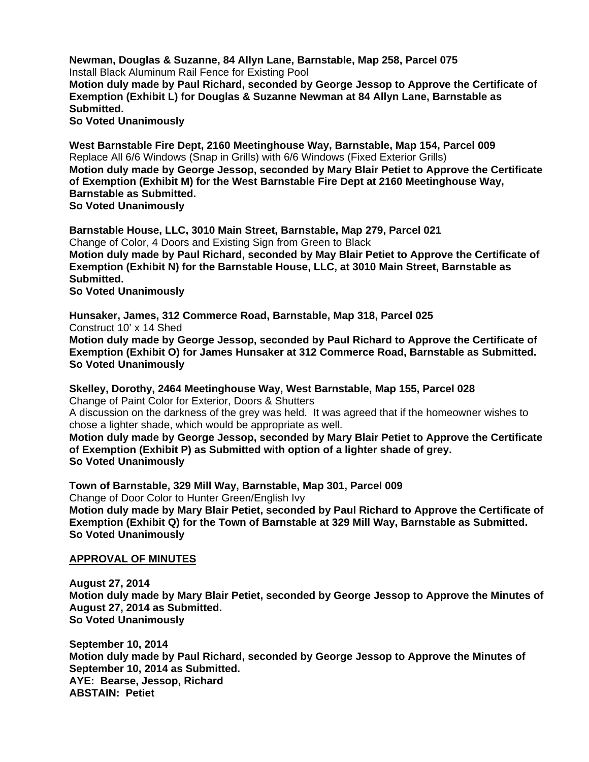**Newman, Douglas & Suzanne, 84 Allyn Lane, Barnstable, Map 258, Parcel 075**  Install Black Aluminum Rail Fence for Existing Pool **Motion duly made by Paul Richard, seconded by George Jessop to Approve the Certificate of Exemption (Exhibit L) for Douglas & Suzanne Newman at 84 Allyn Lane, Barnstable as Submitted.** 

**So Voted Unanimously** 

**West Barnstable Fire Dept, 2160 Meetinghouse Way, Barnstable, Map 154, Parcel 009**  Replace All 6/6 Windows (Snap in Grills) with 6/6 Windows (Fixed Exterior Grills) **Motion duly made by George Jessop, seconded by Mary Blair Petiet to Approve the Certificate of Exemption (Exhibit M) for the West Barnstable Fire Dept at 2160 Meetinghouse Way, Barnstable as Submitted.** 

**So Voted Unanimously** 

**Barnstable House, LLC, 3010 Main Street, Barnstable, Map 279, Parcel 021**  Change of Color, 4 Doors and Existing Sign from Green to Black **Motion duly made by Paul Richard, seconded by May Blair Petiet to Approve the Certificate of Exemption (Exhibit N) for the Barnstable House, LLC, at 3010 Main Street, Barnstable as Submitted.** 

**So Voted Unanimously** 

**Hunsaker, James, 312 Commerce Road, Barnstable, Map 318, Parcel 025**  Construct 10' x 14 Shed **Motion duly made by George Jessop, seconded by Paul Richard to Approve the Certificate of Exemption (Exhibit O) for James Hunsaker at 312 Commerce Road, Barnstable as Submitted. So Voted Unanimously** 

**Skelley, Dorothy, 2464 Meetinghouse Way, West Barnstable, Map 155, Parcel 028**  Change of Paint Color for Exterior, Doors & Shutters A discussion on the darkness of the grey was held. It was agreed that if the homeowner wishes to chose a lighter shade, which would be appropriate as well. **Motion duly made by George Jessop, seconded by Mary Blair Petiet to Approve the Certificate of Exemption (Exhibit P) as Submitted with option of a lighter shade of grey.** 

**So Voted Unanimously** 

**Town of Barnstable, 329 Mill Way, Barnstable, Map 301, Parcel 009** 

Change of Door Color to Hunter Green/English Ivy **Motion duly made by Mary Blair Petiet, seconded by Paul Richard to Approve the Certificate of Exemption (Exhibit Q) for the Town of Barnstable at 329 Mill Way, Barnstable as Submitted. So Voted Unanimously**

### **APPROVAL OF MINUTES**

**August 27, 2014 Motion duly made by Mary Blair Petiet, seconded by George Jessop to Approve the Minutes of August 27, 2014 as Submitted. So Voted Unanimously** 

**September 10, 2014 Motion duly made by Paul Richard, seconded by George Jessop to Approve the Minutes of September 10, 2014 as Submitted. AYE: Bearse, Jessop, Richard ABSTAIN: Petiet**